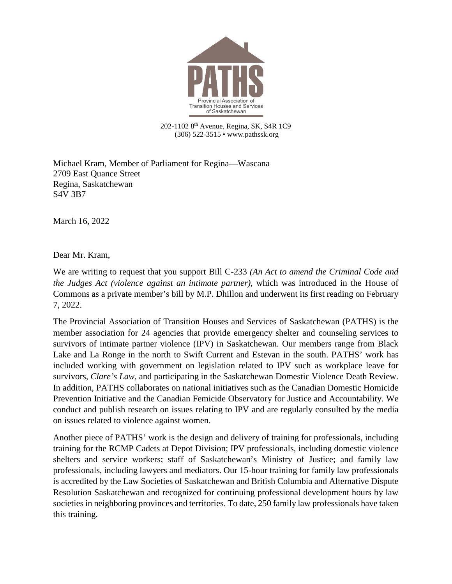

202-1102 8<sup>th</sup> Avenue, Regina, SK, S4R 1C9 (306) 522-3515 • www.pathssk.org

Michael Kram, Member of Parliament for Regina—Wascana 2709 East Quance Street Regina, Saskatchewan S4V 3B7

March 16, 2022

Dear Mr. Kram,

We are writing to request that you support Bill C-233 *(An Act to amend the Criminal Code and the Judges Act (violence against an intimate partner)*, which was introduced in the House of Commons as a private member's bill by M.P. Dhillon and underwent its first reading on February 7, 2022.

The Provincial Association of Transition Houses and Services of Saskatchewan (PATHS) is the member association for 24 agencies that provide emergency shelter and counseling services to survivors of intimate partner violence (IPV) in Saskatchewan. Our members range from Black Lake and La Ronge in the north to Swift Current and Estevan in the south. PATHS' work has included working with government on legislation related to IPV such as workplace leave for survivors, *Clare's Law*, and participating in the Saskatchewan Domestic Violence Death Review. In addition, PATHS collaborates on national initiatives such as the Canadian Domestic Homicide Prevention Initiative and the Canadian Femicide Observatory for Justice and Accountability. We conduct and publish research on issues relating to IPV and are regularly consulted by the media on issues related to violence against women.

Another piece of PATHS' work is the design and delivery of training for professionals, including training for the RCMP Cadets at Depot Division; IPV professionals, including domestic violence shelters and service workers; staff of Saskatchewan's Ministry of Justice; and family law professionals, including lawyers and mediators. Our 15-hour training for family law professionals is accredited by the Law Societies of Saskatchewan and British Columbia and Alternative Dispute Resolution Saskatchewan and recognized for continuing professional development hours by law societies in neighboring provinces and territories. To date, 250 family law professionals have taken this training.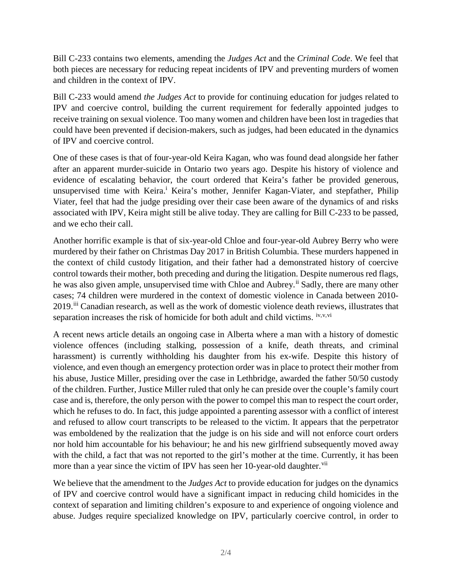Bill C-233 contains two elements, amending the *Judges Act* and the *Criminal Code*. We feel that both pieces are necessary for reducing repeat incidents of IPV and preventing murders of women and children in the context of IPV.

Bill C-233 would amend *the Judges Act* to provide for continuing education for judges related to IPV and coercive control, building the current requirement for federally appointed judges to receive training on sexual violence. Too many women and children have been lost in tragedies that could have been prevented if decision-makers, such as judges, had been educated in the dynamics of IPV and coercive control.

One of these cases is that of four-year-old Keira Kagan, who was found dead alongside her father after an apparent murder-suicide in Ontario two years ago. Despite his history of violence and evidence of escalating behavior, the court ordered that Keira's father be provided generous, unsuperv[i](#page-3-0)sed time with Keira.<sup>i</sup> Keira's mother, Jennifer Kagan-Viater, and stepfather, Philip Viater, feel that had the judge presiding over their case been aware of the dynamics of and risks associated with IPV, Keira might still be alive today. They are calling for Bill C-233 to be passed, and we echo their call.

Another horrific example is that of six-year-old Chloe and four-year-old Aubrey Berry who were murdered by their father on Christmas Day 2017 in British Columbia. These murders happened in the context of child custody litigation, and their father had a demonstrated history of coercive control towards their mother, both preceding and during the litigation. Despite numerous red flags, he was also given ample, unsupervised time with Chloe and Aubrey.<sup>[ii](#page-3-1)</sup> Sadly, there are many other cases; 74 children were murdered in the context of domestic violence in Canada between 2010- 2019.[iii](#page-3-2) Canadian research, as well as the work of domestic violence death reviews, illustrates that separation increases the risk of homicide for both adult and child victims. [iv,](#page-3-3)[v,](#page-3-4)[vi](#page-3-5)

A recent news article details an ongoing case in Alberta where a man with a history of domestic violence offences (including stalking, possession of a knife, death threats, and criminal harassment) is currently withholding his daughter from his ex-wife. Despite this history of violence, and even though an emergency protection order was in place to protect their mother from his abuse, Justice Miller, presiding over the case in Lethbridge, awarded the father 50/50 custody of the children. Further, Justice Miller ruled that only he can preside over the couple's family court case and is, therefore, the only person with the power to compel this man to respect the court order, which he refuses to do. In fact, this judge appointed a parenting assessor with a conflict of interest and refused to allow court transcripts to be released to the victim. It appears that the perpetrator was emboldened by the realization that the judge is on his side and will not enforce court orders nor hold him accountable for his behaviour; he and his new girlfriend subsequently moved away with the child, a fact that was not reported to the girl's mother at the time. Currently, it has been more than a year since the victim of IPV has seen her 10-year-old daughter.<sup>[vii](#page-3-6)</sup>

We believe that the amendment to the *Judges Act* to provide education for judges on the dynamics of IPV and coercive control would have a significant impact in reducing child homicides in the context of separation and limiting children's exposure to and experience of ongoing violence and abuse. Judges require specialized knowledge on IPV, particularly coercive control, in order to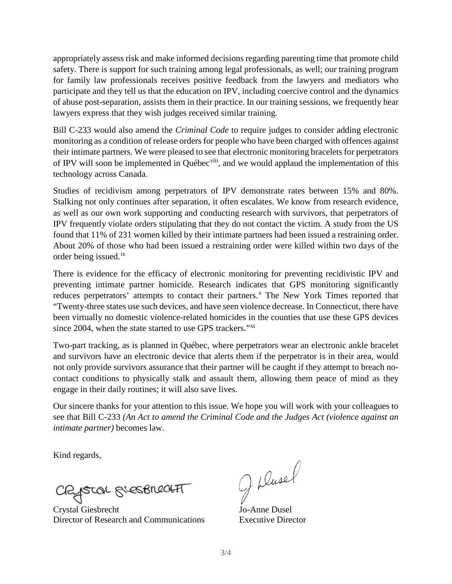appropriately assess risk and make informed decisions regarding parenting time that promote child safety. There is support for such training among legal professionals, as well; our training program for family law professionals receives positive feedback from the lawyers and mediators who participate and they tell us that the education on IPV, including coercive control and the dynamics of abuse post-separation, assists them in their practice. In our training sessions, we frequently hear lawyers express that they wish judges received similar training.

Bill C-233 would also amend the *Criminal Code* to require judges to consider adding electronic monitoring as a condition of release orders for people who have been charged with offences against their intimate partners. We were pleased to see that electronic monitoring bracelets for perpetrators of IPV will soon be implemented in Québec<sup>viii</sup>, and we would applaud the implementation of this technology across Canada.

Studies of recidivism among perpetrators of IPV demonstrate rates between 15% and 80%. Stalking not only continues after separation, it often escalates. We know from research evidence, as well as our own work supporting and conducting research with survivors, that perpetrators of IPV frequently violate orders stipulating that they do not contact the victim. A study from the US found that 11% of 231 women killed by their intimate partners had been issued a restraining order. About 20% of those who had been issued a restraining order were killed within two days of the order being issued.[ix](#page-3-8)

There is evidence for the efficacy of electronic monitoring for preventing recidivistic IPV and preventing intimate partner homicide. Research indicates that GPS monitoring significantly reduces perpetrators' attempts to contact their partners.<sup>[x](#page-3-9)</sup> The New York Times reported that "Twenty-three states use such devices, and have seen violence decrease. In Connecticut, there have been virtually no domestic violence-related homicides in the counties that use these GPS devices since 2004, when the state started to use GPS trackers."<sup>[xi](#page-3-10)</sup>

Two-part tracking, as is planned in Québec, where perpetrators wear an electronic ankle bracelet and survivors have an electronic device that alerts them if the perpetrator is in their area, would not only provide survivors assurance that their partner will be caught if they attempt to breach nocontact conditions to physically stalk and assault them, allowing them peace of mind as they engage in their daily routines; it will also save lives.

Our sincere thanks for your attention to this issue. We hope you will work with your colleagues to see that Bill C-233 *(An Act to amend the Criminal Code and the Judges Act (violence against an intimate partner)* becomes law.

Kind regards,

CRISTOL GLESBRECHT

Crystal Giesbrecht Jo-Anne Dusel Director of Research and Communications Executive Director

J Dusel